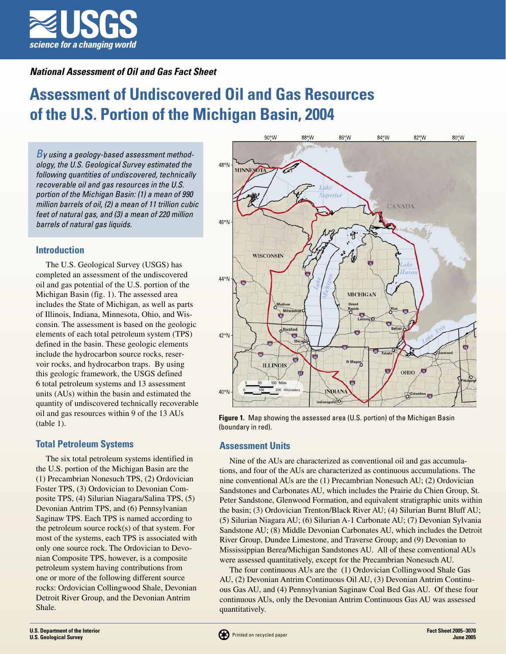

# **National Assessment of Oil and Gas Fact Sheet**

# **Assessment of Undiscovered Oil and Gas Resources of the U.S. Portion of the Michigan Basin, 2004**

 $B$ y using a geology-based assessment methodology, the U.S. Geological Survey estimated the following quantities of undiscovered, technically recoverable oil and gas resources in the U.S. portion of the Michigan Basin: (1) a mean of 990 million barrels of oil, (2) a mean of 11 trillion cubic feet of natural gas, and (3) a mean of 220 million barrels of natural gas liquids.

## **Introduction**

The U.S. Geological Survey (USGS) has completed an assessment of the undiscovered oil and gas potential of the U.S. portion of the Michigan Basin (fig. 1). The assessed area includes the State of Michigan, as well as parts of Illinois, Indiana, Minnesota, Ohio, and Wisconsin. The assessment is based on the geologic elements of each total petroleum system (TPS) defined in the basin. These geologic elements include the hydrocarbon source rocks, reservoir rocks, and hydrocarbon traps. By using this geologic framework, the USGS defined 6 total petroleum systems and 13 assessment units (AUs) within the basin and estimated the quantity of undiscovered technically recoverable oil and gas resources within 9 of the 13 AUs (table 1).

#### **Total Petroleum Systems**

The six total petroleum systems identified in the U.S. portion of the Michigan Basin are the (1) Precambrian Nonesuch TPS, (2) Ordovician Foster TPS, (3) Ordovician to Devonian Composite TPS, (4) Silurian Niagara/Salina TPS, (5) Devonian Antrim TPS, and (6) Pennsylvanian Saginaw TPS. Each TPS is named according to the petroleum source rock(s) of that system. For most of the systems, each TPS is associated with only one source rock. The Ordovician to Devonian Composite TPS, however, is a composite petroleum system having contributions from one or more of the following different source rocks: Ordovician Collingwood Shale, Devonian Detroit River Group, and the Devonian Antrim Shale.



**Figure 1.** Map showing the assessed area (U.S. portion) of the Michigan Basin (boundary in red).

#### **Assessment Units**

Nine of the AUs are characterized as conventional oil and gas accumulations, and four of the AUs are characterized as continuous accumulations. The nine conventional AUs are the (1) Precambrian Nonesuch AU; (2) Ordovician Sandstones and Carbonates AU, which includes the Prairie du Chien Group, St. Peter Sandstone, Glenwood Formation, and equivalent stratigraphic units within the basin; (3) Ordovician Trenton/Black River AU; (4) Silurian Burnt Bluff AU; (5) Silurian Niagara AU; (6) Silurian A-1 Carbonate AU; (7) Devonian Sylvania Sandstone AU; (8) Middle Devonian Carbonates AU, which includes the Detroit River Group, Dundee Limestone, and Traverse Group; and (9) Devonian to Mississippian Berea/Michigan Sandstones AU. All of these conventional AUs were assessed quantitatively, except for the Precambrian Nonesuch AU.

The four continuous AUs are the (1) Ordovician Collingwood Shale Gas AU, (2) Devonian Antrim Continuous Oil AU, (3) Devonian Antrim Continuous Gas AU, and (4) Pennsylvanian Saginaw Coal Bed Gas AU. Of these four continuous AUs, only the Devonian Antrim Continuous Gas AU was assessed quantitatively.